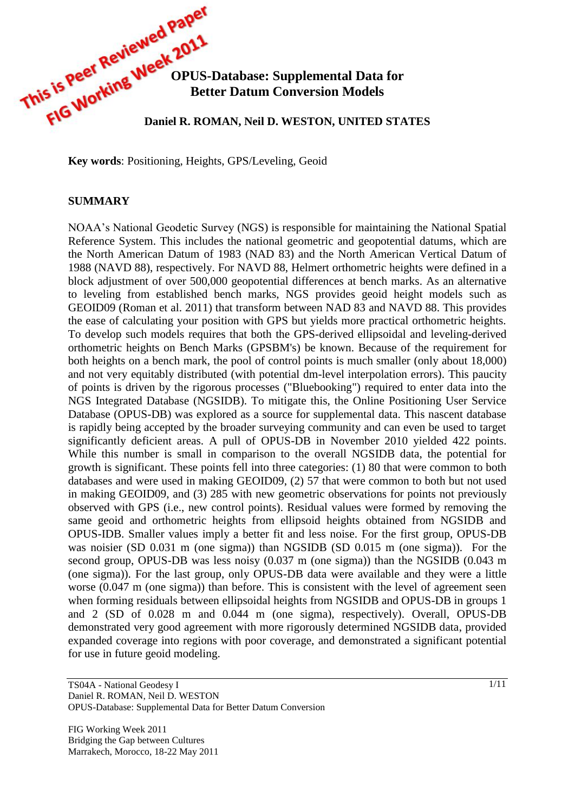

**Key words**: Positioning, Heights, GPS/Leveling, Geoid

#### **SUMMARY**

NOAA's National Geodetic Survey (NGS) is responsible for maintaining the National Spatial Reference System. This includes the national geometric and geopotential datums, which are the North American Datum of 1983 (NAD 83) and the North American Vertical Datum of 1988 (NAVD 88), respectively. For NAVD 88, Helmert orthometric heights were defined in a block adjustment of over 500,000 geopotential differences at bench marks. As an alternative to leveling from established bench marks, NGS provides geoid height models such as GEOID09 (Roman et al. 2011) that transform between NAD 83 and NAVD 88. This provides the ease of calculating your position with GPS but yields more practical orthometric heights. To develop such models requires that both the GPS-derived ellipsoidal and leveling-derived orthometric heights on Bench Marks (GPSBM's) be known. Because of the requirement for both heights on a bench mark, the pool of control points is much smaller (only about 18,000) and not very equitably distributed (with potential dm-level interpolation errors). This paucity of points is driven by the rigorous processes ("Bluebooking") required to enter data into the NGS Integrated Database (NGSIDB). To mitigate this, the Online Positioning User Service Database (OPUS-DB) was explored as a source for supplemental data. This nascent database is rapidly being accepted by the broader surveying community and can even be used to target significantly deficient areas. A pull of OPUS-DB in November 2010 yielded 422 points. While this number is small in comparison to the overall NGSIDB data, the potential for growth is significant. These points fell into three categories: (1) 80 that were common to both databases and were used in making GEOID09, (2) 57 that were common to both but not used in making GEOID09, and (3) 285 with new geometric observations for points not previously observed with GPS (i.e., new control points). Residual values were formed by removing the same geoid and orthometric heights from ellipsoid heights obtained from NGSIDB and OPUS-IDB. Smaller values imply a better fit and less noise. For the first group, OPUS-DB was noisier (SD 0.031 m (one sigma)) than NGSIDB (SD 0.015 m (one sigma)). For the second group, OPUS-DB was less noisy (0.037 m (one sigma)) than the NGSIDB (0.043 m (one sigma)). For the last group, only OPUS-DB data were available and they were a little worse (0.047 m (one sigma)) than before. This is consistent with the level of agreement seen when forming residuals between ellipsoidal heights from NGSIDB and OPUS-DB in groups 1 and 2 (SD of 0.028 m and 0.044 m (one sigma), respectively). Overall, OPUS-DB demonstrated very good agreement with more rigorously determined NGSIDB data, provided expanded coverage into regions with poor coverage, and demonstrated a significant potential for use in future geoid modeling.

TS04A - National Geodesy I Daniel R. ROMAN, Neil D. WESTON OPUS-Database: Supplemental Data for Better Datum Conversion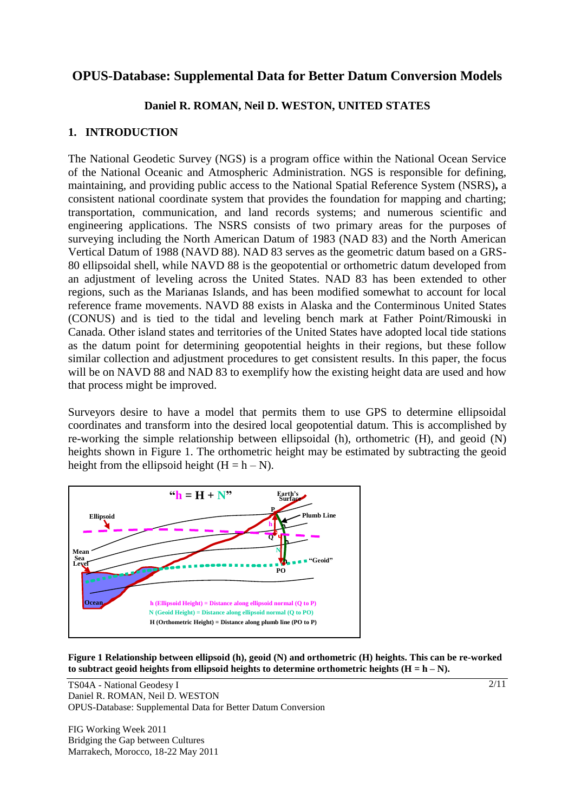# **OPUS-Database: Supplemental Data for Better Datum Conversion Models**

## **Daniel R. ROMAN, Neil D. WESTON, UNITED STATES**

## **1. INTRODUCTION**

The National Geodetic Survey (NGS) is a program office within the National Ocean Service of the National Oceanic and Atmospheric Administration. NGS is responsible for defining, maintaining, and providing public access to the National Spatial Reference System (NSRS)**,** a consistent national coordinate system that provides the foundation for mapping and charting; transportation, communication, and land records systems; and numerous scientific and engineering applications. The NSRS consists of two primary areas for the purposes of surveying including the North American Datum of 1983 (NAD 83) and the North American Vertical Datum of 1988 (NAVD 88). NAD 83 serves as the geometric datum based on a GRS-80 ellipsoidal shell, while NAVD 88 is the geopotential or orthometric datum developed from an adjustment of leveling across the United States. NAD 83 has been extended to other regions, such as the Marianas Islands, and has been modified somewhat to account for local reference frame movements. NAVD 88 exists in Alaska and the Conterminous United States (CONUS) and is tied to the tidal and leveling bench mark at Father Point/Rimouski in Canada. Other island states and territories of the United States have adopted local tide stations as the datum point for determining geopotential heights in their regions, but these follow similar collection and adjustment procedures to get consistent results. In this paper, the focus will be on NAVD 88 and NAD 83 to exemplify how the existing height data are used and how that process might be improved.

Surveyors desire to have a model that permits them to use GPS to determine ellipsoidal coordinates and transform into the desired local geopotential datum. This is accomplished by re-working the simple relationship between ellipsoidal (h), orthometric (H), and geoid (N) heights shown in Figure 1. The orthometric height may be estimated by subtracting the geoid height from the ellipsoid height  $(H = h - N)$ .



**Figure 1 Relationship between ellipsoid (h), geoid (N) and orthometric (H) heights. This can be re-worked**  to subtract geoid heights from ellipsoid heights to determine orthometric heights  $(H = h - N)$ .

TS04A - National Geodesy I Daniel R. ROMAN, Neil D. WESTON OPUS-Database: Supplemental Data for Better Datum Conversion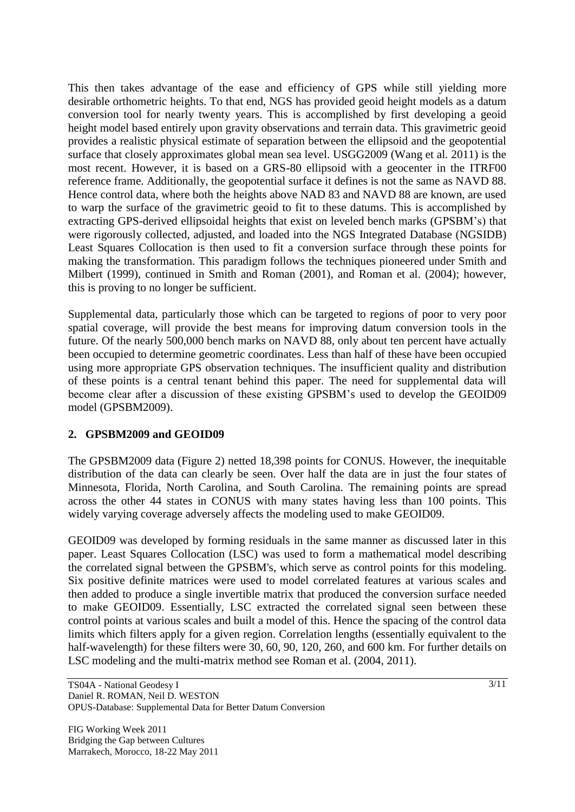This then takes advantage of the ease and efficiency of GPS while still yielding more desirable orthometric heights. To that end, NGS has provided geoid height models as a datum conversion tool for nearly twenty years. This is accomplished by first developing a geoid height model based entirely upon gravity observations and terrain data. This gravimetric geoid provides a realistic physical estimate of separation between the ellipsoid and the geopotential surface that closely approximates global mean sea level. USGG2009 (Wang et al. 2011) is the most recent. However, it is based on a GRS-80 ellipsoid with a geocenter in the ITRF00 reference frame. Additionally, the geopotential surface it defines is not the same as NAVD 88. Hence control data, where both the heights above NAD 83 and NAVD 88 are known, are used to warp the surface of the gravimetric geoid to fit to these datums. This is accomplished by extracting GPS-derived ellipsoidal heights that exist on leveled bench marks (GPSBM's) that were rigorously collected, adjusted, and loaded into the NGS Integrated Database (NGSIDB) Least Squares Collocation is then used to fit a conversion surface through these points for making the transformation. This paradigm follows the techniques pioneered under Smith and Milbert (1999), continued in Smith and Roman (2001), and Roman et al. (2004); however, this is proving to no longer be sufficient.

Supplemental data, particularly those which can be targeted to regions of poor to very poor spatial coverage, will provide the best means for improving datum conversion tools in the future. Of the nearly 500,000 bench marks on NAVD 88, only about ten percent have actually been occupied to determine geometric coordinates. Less than half of these have been occupied using more appropriate GPS observation techniques. The insufficient quality and distribution of these points is a central tenant behind this paper. The need for supplemental data will become clear after a discussion of these existing GPSBM's used to develop the GEOID09 model (GPSBM2009).

## **2. GPSBM2009 and GEOID09**

The GPSBM2009 data (Figure 2) netted 18,398 points for CONUS. However, the inequitable distribution of the data can clearly be seen. Over half the data are in just the four states of Minnesota, Florida, North Carolina, and South Carolina. The remaining points are spread across the other 44 states in CONUS with many states having less than 100 points. This widely varying coverage adversely affects the modeling used to make GEOID09.

GEOID09 was developed by forming residuals in the same manner as discussed later in this paper. Least Squares Collocation (LSC) was used to form a mathematical model describing the correlated signal between the GPSBM's, which serve as control points for this modeling. Six positive definite matrices were used to model correlated features at various scales and then added to produce a single invertible matrix that produced the conversion surface needed to make GEOID09. Essentially, LSC extracted the correlated signal seen between these control points at various scales and built a model of this. Hence the spacing of the control data limits which filters apply for a given region. Correlation lengths (essentially equivalent to the half-wavelength) for these filters were 30, 60, 90, 120, 260, and 600 km. For further details on LSC modeling and the multi-matrix method see Roman et al. (2004, 2011).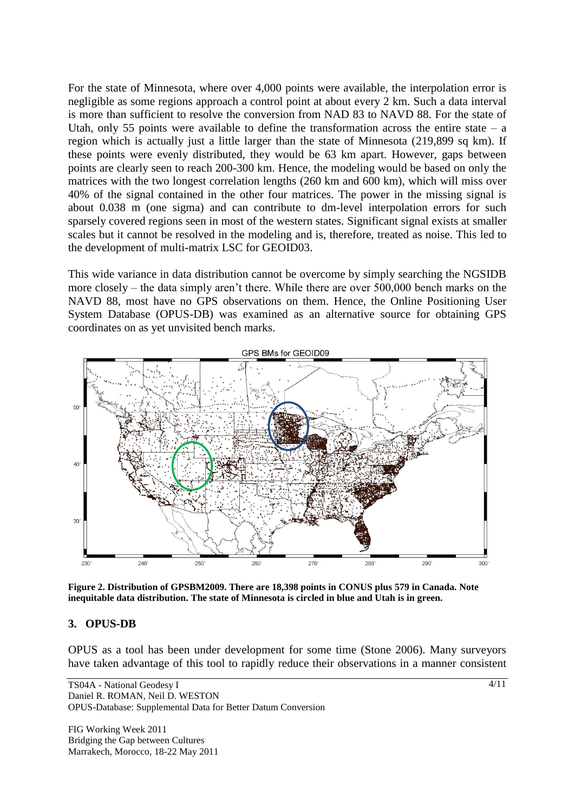For the state of Minnesota, where over 4,000 points were available, the interpolation error is negligible as some regions approach a control point at about every 2 km. Such a data interval is more than sufficient to resolve the conversion from NAD 83 to NAVD 88. For the state of Utah, only 55 points were available to define the transformation across the entire state  $-$  a region which is actually just a little larger than the state of Minnesota (219,899 sq km). If these points were evenly distributed, they would be 63 km apart. However, gaps between points are clearly seen to reach 200-300 km. Hence, the modeling would be based on only the matrices with the two longest correlation lengths (260 km and 600 km), which will miss over 40% of the signal contained in the other four matrices. The power in the missing signal is about 0.038 m (one sigma) and can contribute to dm-level interpolation errors for such sparsely covered regions seen in most of the western states. Significant signal exists at smaller scales but it cannot be resolved in the modeling and is, therefore, treated as noise. This led to the development of multi-matrix LSC for GEOID03.

This wide variance in data distribution cannot be overcome by simply searching the NGSIDB more closely – the data simply aren't there. While there are over 500,000 bench marks on the NAVD 88, most have no GPS observations on them. Hence, the Online Positioning User System Database (OPUS-DB) was examined as an alternative source for obtaining GPS coordinates on as yet unvisited bench marks.



**Figure 2. Distribution of GPSBM2009. There are 18,398 points in CONUS plus 579 in Canada. Note inequitable data distribution. The state of Minnesota is circled in blue and Utah is in green.**

#### **3. OPUS-DB**

OPUS as a tool has been under development for some time (Stone 2006). Many surveyors have taken advantage of this tool to rapidly reduce their observations in a manner consistent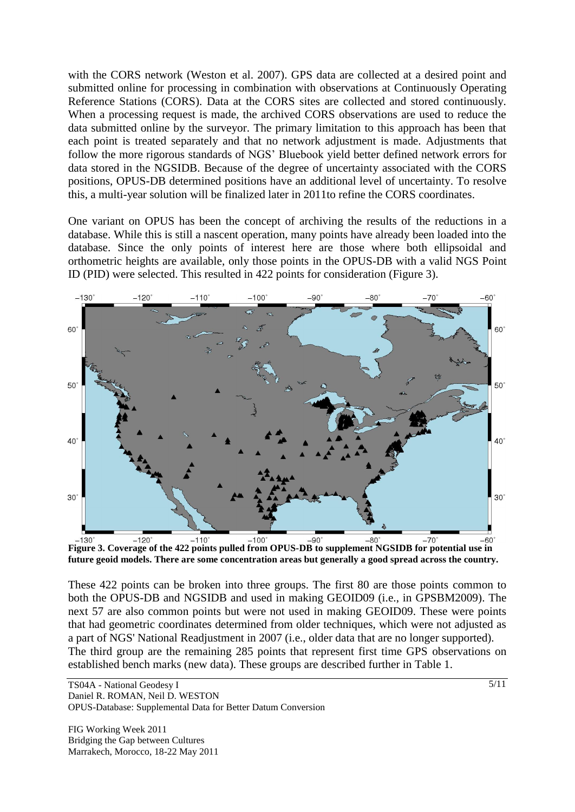with the CORS network (Weston et al. 2007). GPS data are collected at a desired point and submitted online for processing in combination with observations at Continuously Operating Reference Stations (CORS). Data at the CORS sites are collected and stored continuously. When a processing request is made, the archived CORS observations are used to reduce the data submitted online by the surveyor. The primary limitation to this approach has been that each point is treated separately and that no network adjustment is made. Adjustments that follow the more rigorous standards of NGS' Bluebook yield better defined network errors for data stored in the NGSIDB. Because of the degree of uncertainty associated with the CORS positions, OPUS-DB determined positions have an additional level of uncertainty. To resolve this, a multi-year solution will be finalized later in 2011to refine the CORS coordinates.

One variant on OPUS has been the concept of archiving the results of the reductions in a database. While this is still a nascent operation, many points have already been loaded into the database. Since the only points of interest here are those where both ellipsoidal and orthometric heights are available, only those points in the OPUS-DB with a valid NGS Point ID (PID) were selected. This resulted in 422 points for consideration (Figure 3).



**Figure 3. Coverage of the 422 points pulled from OPUS-DB to supplement NGSIDB for potential use in future geoid models. There are some concentration areas but generally a good spread across the country.**

These 422 points can be broken into three groups. The first 80 are those points common to both the OPUS-DB and NGSIDB and used in making GEOID09 (i.e., in GPSBM2009). The next 57 are also common points but were not used in making GEOID09. These were points that had geometric coordinates determined from older techniques, which were not adjusted as a part of NGS' National Readjustment in 2007 (i.e., older data that are no longer supported). The third group are the remaining 285 points that represent first time GPS observations on established bench marks (new data). These groups are described further in Table 1.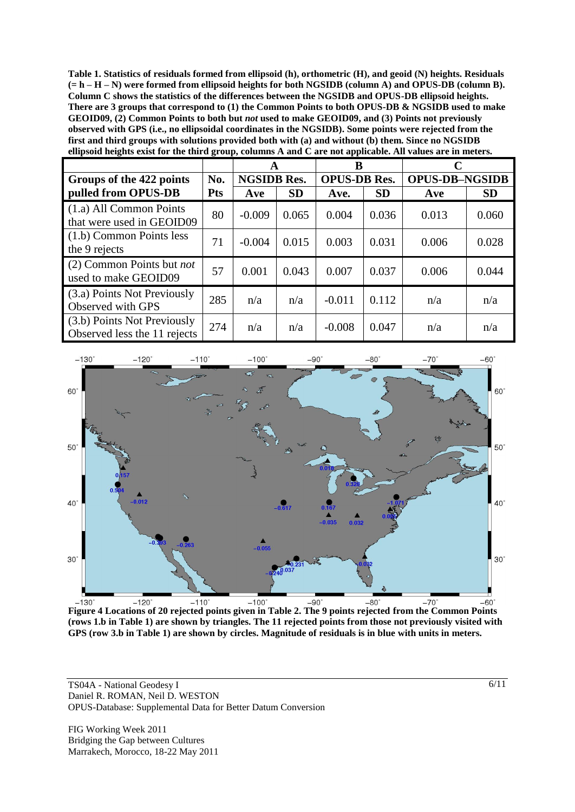**Table 1. Statistics of residuals formed from ellipsoid (h), orthometric (H), and geoid (N) heights. Residuals (= h – H – N) were formed from ellipsoid heights for both NGSIDB (column A) and OPUS-DB (column B). Column C shows the statistics of the differences between the NGSIDB and OPUS-DB ellipsoid heights. There are 3 groups that correspond to (1) the Common Points to both OPUS-DB & NGSIDB used to make GEOID09, (2) Common Points to both but** *not* **used to make GEOID09, and (3) Points not previously observed with GPS (i.e., no ellipsoidal coordinates in the NGSIDB). Some points were rejected from the first and third groups with solutions provided both with (a) and without (b) them. Since no NGSIDB ellipsoid heights exist for the third group, columns A and C are not applicable. All values are in meters.**

|                                                             |            | A                  |           | в                   |           | C                     |           |
|-------------------------------------------------------------|------------|--------------------|-----------|---------------------|-----------|-----------------------|-----------|
| Groups of the 422 points                                    | No.        | <b>NGSIDB Res.</b> |           | <b>OPUS-DB Res.</b> |           | <b>OPUS-DB-NGSIDB</b> |           |
| pulled from OPUS-DB                                         | <b>Pts</b> | Ave                | <b>SD</b> | Ave.                | <b>SD</b> | Ave                   | <b>SD</b> |
| (1.a) All Common Points<br>that were used in GEOID09        | 80         | $-0.009$           | 0.065     | 0.004               | 0.036     | 0.013                 | 0.060     |
| (1.b) Common Points less<br>the 9 rejects                   | 71         | $-0.004$           | 0.015     | 0.003               | 0.031     | 0.006                 | 0.028     |
| (2) Common Points but <i>not</i><br>used to make GEOID09    | 57         | 0.001              | 0.043     | 0.007               | 0.037     | 0.006                 | 0.044     |
| (3.a) Points Not Previously<br>Observed with GPS            | 285        | n/a                | n/a       | $-0.011$            | 0.112     | n/a                   | n/a       |
| (3.b) Points Not Previously<br>Observed less the 11 rejects | 274        | n/a                | n/a       | $-0.008$            | 0.047     | n/a                   | n/a       |



**Figure 4 Locations of 20 rejected points given in Table 2. The 9 points rejected from the Common Points (rows 1.b in Table 1) are shown by triangles. The 11 rejected points from those not previously visited with GPS (row 3.b in Table 1) are shown by circles. Magnitude of residuals is in blue with units in meters.** 

TS04A - National Geodesy I Daniel R. ROMAN, Neil D. WESTON OPUS-Database: Supplemental Data for Better Datum Conversion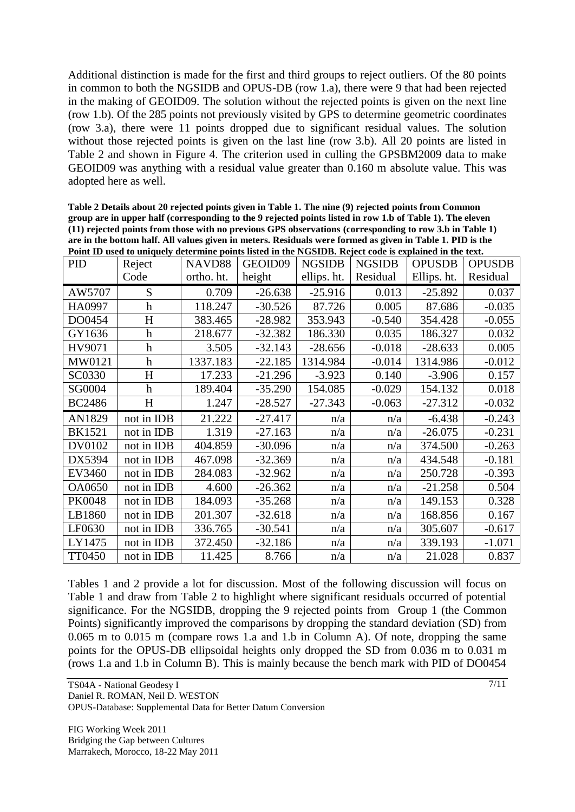Additional distinction is made for the first and third groups to reject outliers. Of the 80 points in common to both the NGSIDB and OPUS-DB (row 1.a), there were 9 that had been rejected in the making of GEOID09. The solution without the rejected points is given on the next line (row 1.b). Of the 285 points not previously visited by GPS to determine geometric coordinates (row 3.a), there were 11 points dropped due to significant residual values. The solution without those rejected points is given on the last line (row 3.b). All 20 points are listed in Table 2 and shown in Figure 4. The criterion used in culling the GPSBM2009 data to make GEOID09 was anything with a residual value greater than 0.160 m absolute value. This was adopted here as well.

| Table 2 Details about 20 rejected points given in Table 1. The nine (9) rejected points from Common       |
|-----------------------------------------------------------------------------------------------------------|
| group are in upper half (corresponding to the 9 rejected points listed in row 1.b of Table 1). The eleven |
| (11) rejected points from those with no previous GPS observations (corresponding to row 3.b in Table 1)   |
| are in the bottom half. All values given in meters. Residuals were formed as given in Table 1. PID is the |
| Point ID used to uniquely determine points listed in the NGSIDB. Reject code is explained in the text.    |

| <b>PID</b>    | Reject                    | NAVD88     | GEOID09   | <b>NGSIDB</b> | <b>NGSIDB</b> | <b>OPUSDB</b> | <b>OPUSDB</b> |
|---------------|---------------------------|------------|-----------|---------------|---------------|---------------|---------------|
|               | Code                      | ortho. ht. | height    | ellips. ht.   | Residual      | Ellips. ht.   | Residual      |
| AW5707        | S                         | 0.709      | $-26.638$ | $-25.916$     | 0.013         | $-25.892$     | 0.037         |
| HA0997        | $\mathbf h$               | 118.247    | $-30.526$ | 87.726        | 0.005         | 87.686        | $-0.035$      |
| DO0454        | $H_{\rm}$                 | 383.465    | $-28.982$ | 353.943       | $-0.540$      | 354.428       | $-0.055$      |
| GY1636        | $\boldsymbol{\mathrm{h}}$ | 218.677    | $-32.382$ | 186.330       | 0.035         | 186.327       | 0.032         |
| HV9071        | h                         | 3.505      | $-32.143$ | $-28.656$     | $-0.018$      | $-28.633$     | 0.005         |
| MW0121        | $\boldsymbol{\mathrm{h}}$ | 1337.183   | $-22.185$ | 1314.984      | $-0.014$      | 1314.986      | $-0.012$      |
| SC0330        | H                         | 17.233     | $-21.296$ | $-3.923$      | 0.140         | $-3.906$      | 0.157         |
| SG0004        | h                         | 189.404    | $-35.290$ | 154.085       | $-0.029$      | 154.132       | 0.018         |
| <b>BC2486</b> | H                         | 1.247      | $-28.527$ | $-27.343$     | $-0.063$      | $-27.312$     | $-0.032$      |
| AN1829        | not in IDB                | 21.222     | $-27.417$ | n/a           | n/a           | $-6.438$      | $-0.243$      |
|               |                           |            |           |               |               |               | $-0.231$      |
| <b>BK1521</b> | not in IDB                | 1.319      | $-27.163$ | n/a           | n/a           | $-26.075$     |               |
| DV0102        | not in IDB                | 404.859    | $-30.096$ | n/a           | n/a           | 374.500       | $-0.263$      |
| DX5394        | not in IDB                | 467.098    | $-32.369$ | n/a           | n/a           | 434.548       | $-0.181$      |
| EV3460        | not in IDB                | 284.083    | $-32.962$ | n/a           | n/a           | 250.728       | $-0.393$      |
| <b>OA0650</b> | not in IDB                | 4.600      | $-26.362$ | n/a           | n/a           | $-21.258$     | 0.504         |
| <b>PK0048</b> | not in IDB                | 184.093    | $-35.268$ | n/a           | n/a           | 149.153       | 0.328         |
| LB1860        | not in IDB                | 201.307    | $-32.618$ | n/a           | n/a           | 168.856       | 0.167         |
| LF0630        | not in IDB                | 336.765    | $-30.541$ | n/a           | n/a           | 305.607       | $-0.617$      |
| LY1475        | not in IDB                | 372.450    | $-32.186$ | n/a           | n/a           | 339.193       | $-1.071$      |

Tables 1 and 2 provide a lot for discussion. Most of the following discussion will focus on Table 1 and draw from Table 2 to highlight where significant residuals occurred of potential significance. For the NGSIDB, dropping the 9 rejected points from Group 1 (the Common Points) significantly improved the comparisons by dropping the standard deviation (SD) from 0.065 m to 0.015 m (compare rows 1.a and 1.b in Column A). Of note, dropping the same points for the OPUS-DB ellipsoidal heights only dropped the SD from 0.036 m to 0.031 m (rows 1.a and 1.b in Column B). This is mainly because the bench mark with PID of DO0454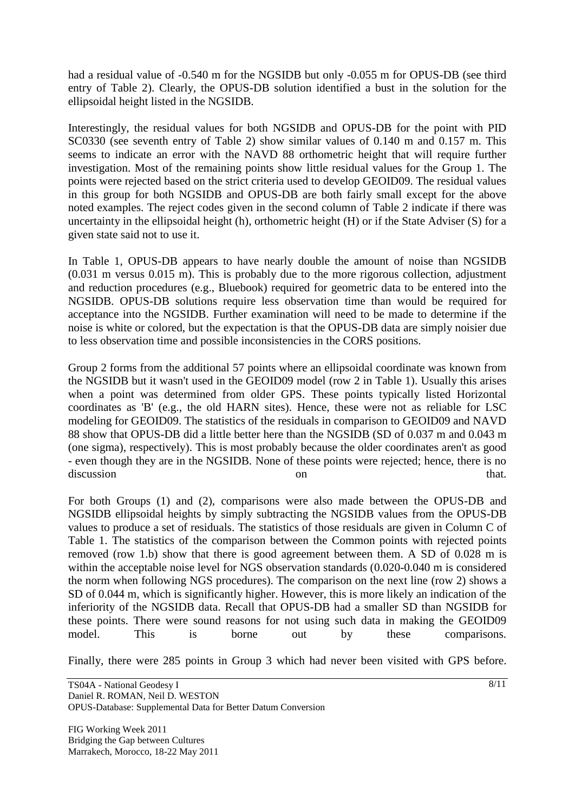had a residual value of -0.540 m for the NGSIDB but only -0.055 m for OPUS-DB (see third entry of Table 2). Clearly, the OPUS-DB solution identified a bust in the solution for the ellipsoidal height listed in the NGSIDB.

Interestingly, the residual values for both NGSIDB and OPUS-DB for the point with PID SC0330 (see seventh entry of Table 2) show similar values of 0.140 m and 0.157 m. This seems to indicate an error with the NAVD 88 orthometric height that will require further investigation. Most of the remaining points show little residual values for the Group 1. The points were rejected based on the strict criteria used to develop GEOID09. The residual values in this group for both NGSIDB and OPUS-DB are both fairly small except for the above noted examples. The reject codes given in the second column of Table 2 indicate if there was uncertainty in the ellipsoidal height (h), orthometric height (H) or if the State Adviser (S) for a given state said not to use it.

In Table 1, OPUS-DB appears to have nearly double the amount of noise than NGSIDB (0.031 m versus 0.015 m). This is probably due to the more rigorous collection, adjustment and reduction procedures (e.g., Bluebook) required for geometric data to be entered into the NGSIDB. OPUS-DB solutions require less observation time than would be required for acceptance into the NGSIDB. Further examination will need to be made to determine if the noise is white or colored, but the expectation is that the OPUS-DB data are simply noisier due to less observation time and possible inconsistencies in the CORS positions.

Group 2 forms from the additional 57 points where an ellipsoidal coordinate was known from the NGSIDB but it wasn't used in the GEOID09 model (row 2 in Table 1). Usually this arises when a point was determined from older GPS. These points typically listed Horizontal coordinates as 'B' (e.g., the old HARN sites). Hence, these were not as reliable for LSC modeling for GEOID09. The statistics of the residuals in comparison to GEOID09 and NAVD 88 show that OPUS-DB did a little better here than the NGSIDB (SD of 0.037 m and 0.043 m (one sigma), respectively). This is most probably because the older coordinates aren't as good - even though they are in the NGSIDB. None of these points were rejected; hence, there is no discussion on that.

For both Groups (1) and (2), comparisons were also made between the OPUS-DB and NGSIDB ellipsoidal heights by simply subtracting the NGSIDB values from the OPUS-DB values to produce a set of residuals. The statistics of those residuals are given in Column C of Table 1. The statistics of the comparison between the Common points with rejected points removed (row 1.b) show that there is good agreement between them. A SD of 0.028 m is within the acceptable noise level for NGS observation standards (0.020-0.040 m is considered the norm when following NGS procedures). The comparison on the next line (row 2) shows a SD of 0.044 m, which is significantly higher. However, this is more likely an indication of the inferiority of the NGSIDB data. Recall that OPUS-DB had a smaller SD than NGSIDB for these points. There were sound reasons for not using such data in making the GEOID09 model. This is borne out by these comparisons.

Finally, there were 285 points in Group 3 which had never been visited with GPS before.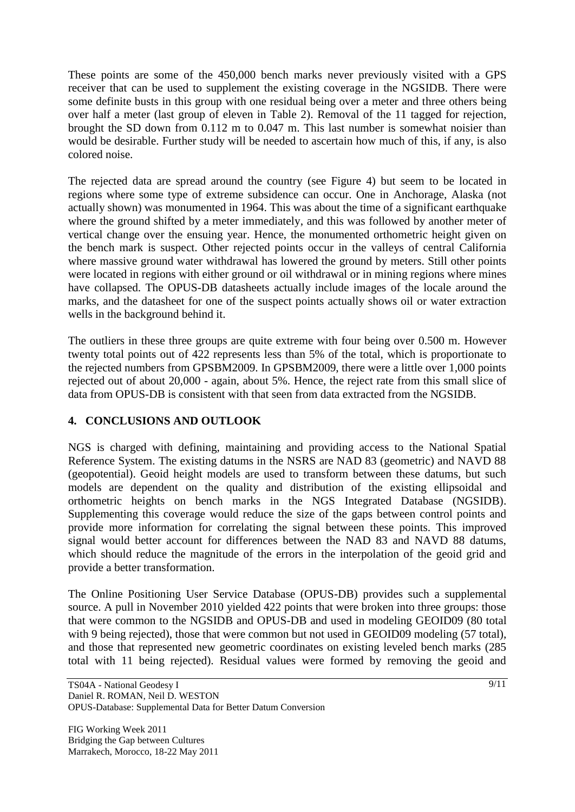These points are some of the 450,000 bench marks never previously visited with a GPS receiver that can be used to supplement the existing coverage in the NGSIDB. There were some definite busts in this group with one residual being over a meter and three others being over half a meter (last group of eleven in Table 2). Removal of the 11 tagged for rejection, brought the SD down from 0.112 m to 0.047 m. This last number is somewhat noisier than would be desirable. Further study will be needed to ascertain how much of this, if any, is also colored noise.

The rejected data are spread around the country (see Figure 4) but seem to be located in regions where some type of extreme subsidence can occur. One in Anchorage, Alaska (not actually shown) was monumented in 1964. This was about the time of a significant earthquake where the ground shifted by a meter immediately, and this was followed by another meter of vertical change over the ensuing year. Hence, the monumented orthometric height given on the bench mark is suspect. Other rejected points occur in the valleys of central California where massive ground water withdrawal has lowered the ground by meters. Still other points were located in regions with either ground or oil withdrawal or in mining regions where mines have collapsed. The OPUS-DB datasheets actually include images of the locale around the marks, and the datasheet for one of the suspect points actually shows oil or water extraction wells in the background behind it.

The outliers in these three groups are quite extreme with four being over 0.500 m. However twenty total points out of 422 represents less than 5% of the total, which is proportionate to the rejected numbers from GPSBM2009. In GPSBM2009, there were a little over 1,000 points rejected out of about 20,000 - again, about 5%. Hence, the reject rate from this small slice of data from OPUS-DB is consistent with that seen from data extracted from the NGSIDB.

## **4. CONCLUSIONS AND OUTLOOK**

NGS is charged with defining, maintaining and providing access to the National Spatial Reference System. The existing datums in the NSRS are NAD 83 (geometric) and NAVD 88 (geopotential). Geoid height models are used to transform between these datums, but such models are dependent on the quality and distribution of the existing ellipsoidal and orthometric heights on bench marks in the NGS Integrated Database (NGSIDB). Supplementing this coverage would reduce the size of the gaps between control points and provide more information for correlating the signal between these points. This improved signal would better account for differences between the NAD 83 and NAVD 88 datums, which should reduce the magnitude of the errors in the interpolation of the geoid grid and provide a better transformation.

The Online Positioning User Service Database (OPUS-DB) provides such a supplemental source. A pull in November 2010 yielded 422 points that were broken into three groups: those that were common to the NGSIDB and OPUS-DB and used in modeling GEOID09 (80 total with 9 being rejected), those that were common but not used in GEOID09 modeling (57 total), and those that represented new geometric coordinates on existing leveled bench marks (285 total with 11 being rejected). Residual values were formed by removing the geoid and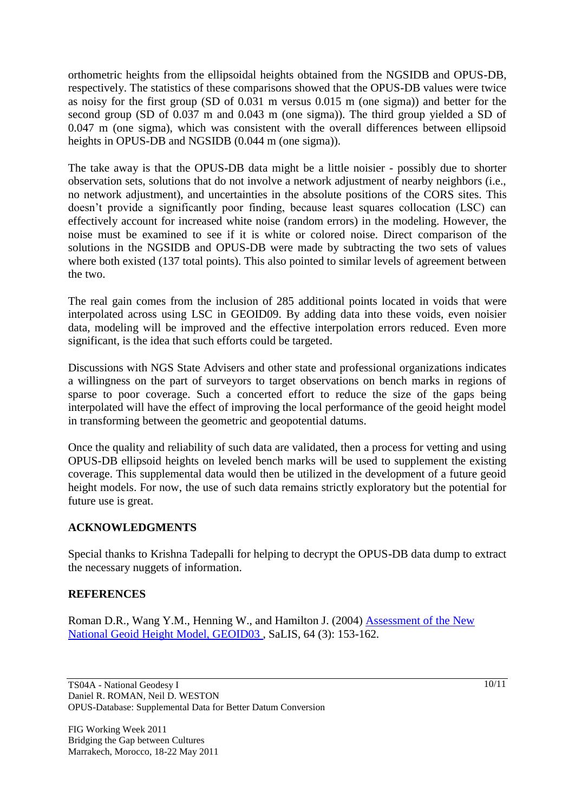orthometric heights from the ellipsoidal heights obtained from the NGSIDB and OPUS-DB, respectively. The statistics of these comparisons showed that the OPUS-DB values were twice as noisy for the first group (SD of 0.031 m versus 0.015 m (one sigma)) and better for the second group (SD of 0.037 m and 0.043 m (one sigma)). The third group yielded a SD of 0.047 m (one sigma), which was consistent with the overall differences between ellipsoid heights in OPUS-DB and NGSIDB (0.044 m (one sigma)).

The take away is that the OPUS-DB data might be a little noisier - possibly due to shorter observation sets, solutions that do not involve a network adjustment of nearby neighbors (i.e., no network adjustment), and uncertainties in the absolute positions of the CORS sites. This doesn't provide a significantly poor finding, because least squares collocation (LSC) can effectively account for increased white noise (random errors) in the modeling. However, the noise must be examined to see if it is white or colored noise. Direct comparison of the solutions in the NGSIDB and OPUS-DB were made by subtracting the two sets of values where both existed (137 total points). This also pointed to similar levels of agreement between the two.

The real gain comes from the inclusion of 285 additional points located in voids that were interpolated across using LSC in GEOID09. By adding data into these voids, even noisier data, modeling will be improved and the effective interpolation errors reduced. Even more significant, is the idea that such efforts could be targeted.

Discussions with NGS State Advisers and other state and professional organizations indicates a willingness on the part of surveyors to target observations on bench marks in regions of sparse to poor coverage. Such a concerted effort to reduce the size of the gaps being interpolated will have the effect of improving the local performance of the geoid height model in transforming between the geometric and geopotential datums.

Once the quality and reliability of such data are validated, then a process for vetting and using OPUS-DB ellipsoid heights on leveled bench marks will be used to supplement the existing coverage. This supplemental data would then be utilized in the development of a future geoid height models. For now, the use of such data remains strictly exploratory but the potential for future use is great.

## **ACKNOWLEDGMENTS**

Special thanks to Krishna Tadepalli for helping to decrypt the OPUS-DB data dump to extract the necessary nuggets of information.

## **REFERENCES**

Roman D.R., Wang Y.M., Henning W., and Hamilton J. (2004) [Assessment of the New](http://www.ngs.noaa.gov/PUBS_LIB/GEOID/ACSM04_GEOID03c.doc)  [National Geoid Height Model, GEOID03 ,](http://www.ngs.noaa.gov/PUBS_LIB/GEOID/ACSM04_GEOID03c.doc) SaLIS, 64 (3): 153-162.